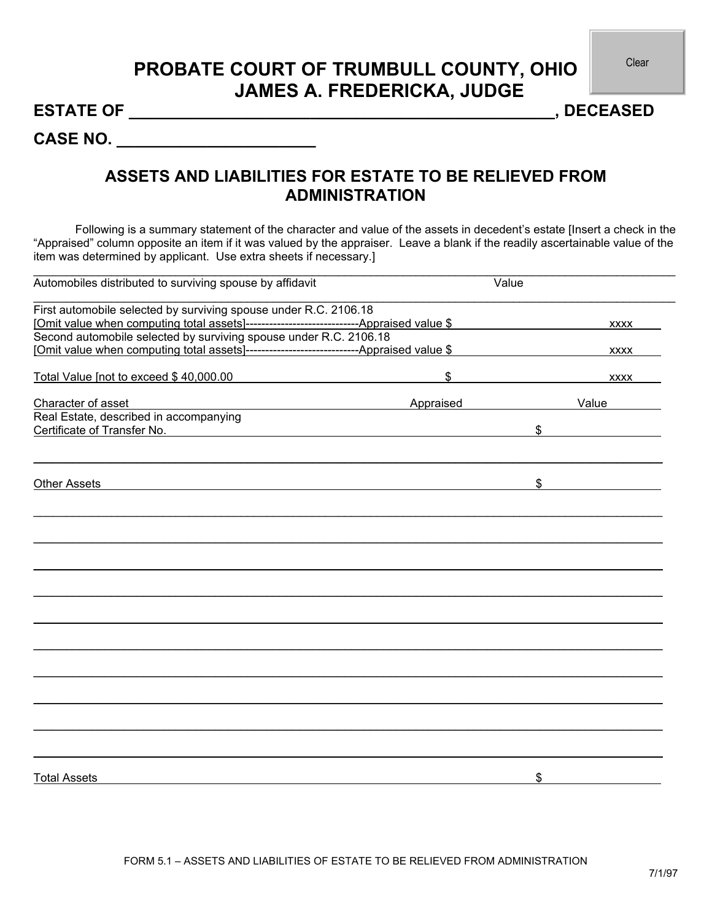## **PROBATE COURT OF TRUMBULL COUNTY, OHIO JAMES A. FREDERICKA, JUDGE**

**ESTATE OF \_\_\_\_\_\_\_\_\_\_\_\_\_\_\_\_\_\_\_\_\_\_\_\_\_\_\_\_\_\_\_\_\_\_\_\_\_\_\_\_\_\_\_\_\_\_\_, DECEASED** 

**CASE NO. \_\_\_\_\_\_\_\_\_\_\_\_\_\_\_\_\_\_\_\_\_\_** 

## **ASSETS AND LIABILITIES FOR ESTATE TO BE RELIEVED FROM ADMINISTRATION**

Following is a summary statement of the character and value of the assets in decedent's estate [Insert a check in the "Appraised" column opposite an item if it was valued by the appraiser. Leave a blank if the readily ascertainable value of the item was determined by applicant. Use extra sheets if necessary.]

 $\_$  , and the set of the set of the set of the set of the set of the set of the set of the set of the set of the set of the set of the set of the set of the set of the set of the set of the set of the set of the set of th

| Automobiles distributed to surviving spouse by affidavit          | Value     |             |
|-------------------------------------------------------------------|-----------|-------------|
| First automobile selected by surviving spouse under R.C. 2106.18  |           |             |
|                                                                   |           | <b>XXXX</b> |
| Second automobile selected by surviving spouse under R.C. 2106.18 |           |             |
|                                                                   |           | <b>XXXX</b> |
| Total Value [not to exceed \$40,000.00                            | \$        | <b>XXXX</b> |
| Character of asset                                                | Appraised | Value       |
| Real Estate, described in accompanying                            |           |             |
| Certificate of Transfer No.                                       |           | \$          |
| <b>Other Assets</b>                                               |           | \$          |
|                                                                   |           |             |
|                                                                   |           |             |
|                                                                   |           |             |
|                                                                   |           |             |
|                                                                   |           |             |
|                                                                   |           |             |
|                                                                   |           |             |
|                                                                   |           |             |
|                                                                   |           |             |
|                                                                   |           |             |
|                                                                   |           |             |
|                                                                   |           |             |
| <b>Total Assets</b>                                               |           | \$          |